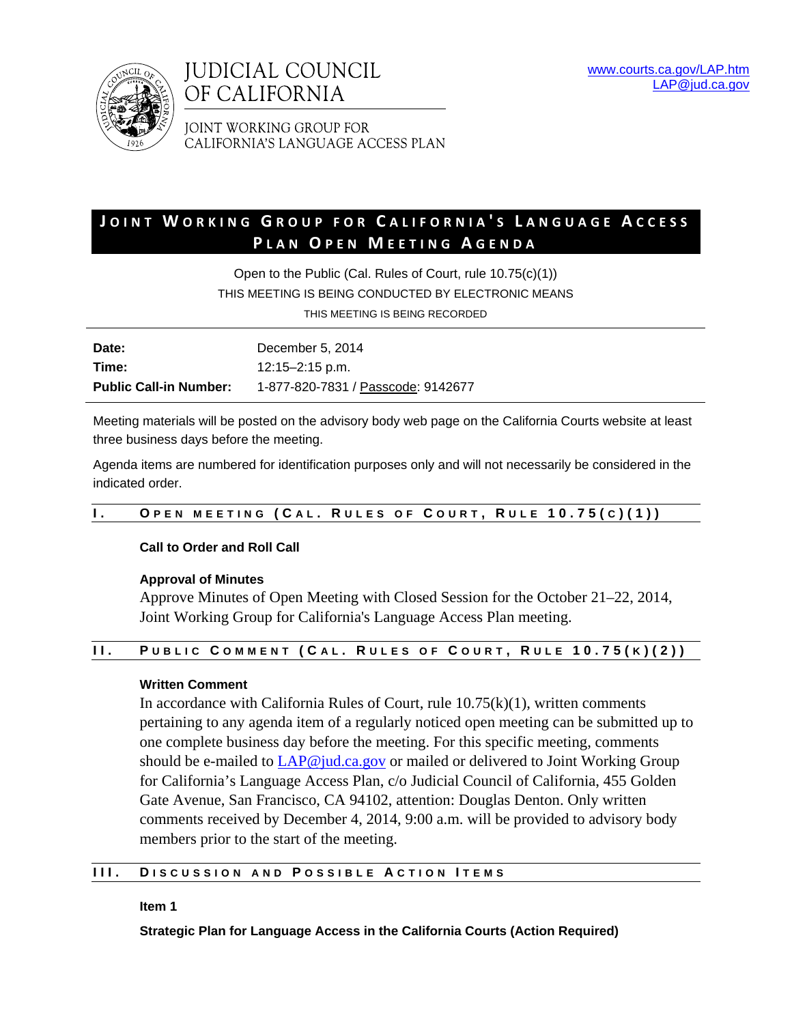



JOINT WORKING GROUP FOR CALIFORNIA'S LANGUAGE ACCESS PLAN

# **J OINT W ORKING G ROUP FOR C ALIFORNIA ' S L ANGUAGE A CCESS P LAN O PEN M EETING A GENDA**

Open to the Public (Cal. Rules of Court, rule 10.75(c)(1)) THIS MEETING IS BEING CONDUCTED BY ELECTRONIC MEANS

THIS MEETING IS BEING RECORDED

| Date:                         | December 5, 2014                   |
|-------------------------------|------------------------------------|
| Time:                         | 12:15–2:15 p.m.                    |
| <b>Public Call-in Number:</b> | 1-877-820-7831 / Passcode: 9142677 |

Meeting materials will be posted on the advisory body web page on the California Courts website at least three business days before the meeting.

Agenda items are numbered for identification purposes only and will not necessarily be considered in the indicated order.

## **I. O PEN MEETING ( C A L . R ULES OF C OURT , R ULE 10.75( C )(1))**

## **Call to Order and Roll Call**

## **Approval of Minutes**

Approve Minutes of Open Meeting with Closed Session for the October 21–22, 2014, Joint Working Group for California's Language Access Plan meeting.

## **II. P UBLIC C OMMENT ( C A L . R ULES OF C OURT , R ULE 10.75( K )(2))**

## **Written Comment**

In accordance with California Rules of Court, rule  $10.75(k)(1)$ , written comments pertaining to any agenda item of a regularly noticed open meeting can be submitted up to one complete business day before the meeting. For this specific meeting, comments should be e-mailed to LAP@jud.ca.gov or mailed or delivered to Joint Working Group for California's Language Access Plan, c/o Judicial Council of California, 455 Golden Gate Avenue, San Francisco, CA 94102, attention: Douglas Denton. Only written comments received by December 4, 2014, 9:00 a.m. will be provided to advisory body members prior to the start of the meeting.

## **III. D ISCUSSION AND P OSSIBLE A CTION I TEMS**

**Item 1** 

**Strategic Plan for Language Access in the California Courts (Action Required)**